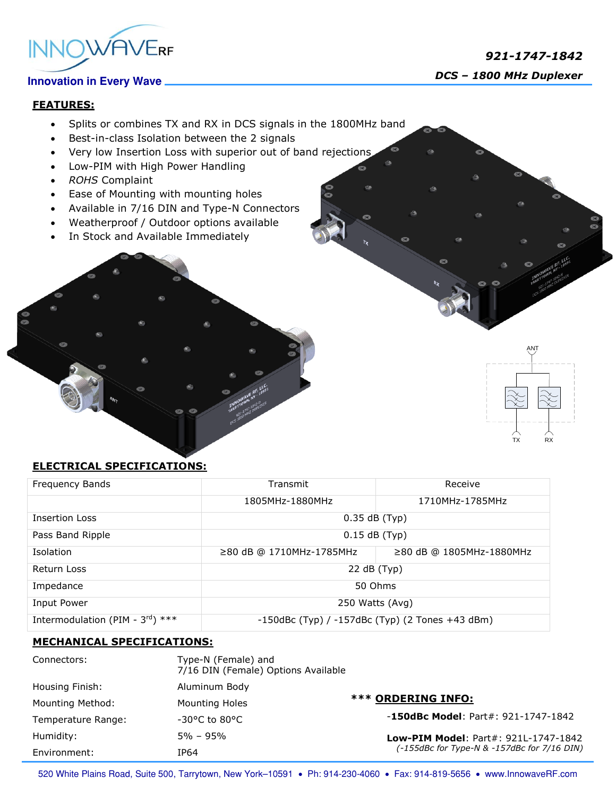

 *921-1747-1842 DCS – 1800 MHz Duplexer*

TX RX

ANT

### **FEATURES:**

- Splits or combines TX and RX in DCS signals in the 1800MHz band
- Best-in-class Isolation between the 2 signals
- Very low Insertion Loss with superior out of band rejections
- Low-PIM with High Power Handling
- *ROHS* Complaint
- Ease of Mounting with mounting holes
- Available in 7/16 DIN and Type-N Connectors
- Weatherproof / Outdoor options available
- In Stock and Available Immediately

# **ELECTRICAL SPECIFICATIONS:**

| Frequency Bands                              | Transmit                                              | Receive                        |
|----------------------------------------------|-------------------------------------------------------|--------------------------------|
|                                              | 1805MHz-1880MHz                                       | 1710MHz-1785MHz                |
| <b>Insertion Loss</b>                        | $0.35$ dB (Typ)                                       |                                |
| Pass Band Ripple                             | $0.15$ dB (Typ)                                       |                                |
| <b>Isolation</b>                             | ≥80 dB @ 1710MHz-1785MHz                              | $\geq$ 80 dB @ 1805MHz-1880MHz |
| Return Loss                                  | 22 dB (Typ)                                           |                                |
| Impedance                                    | 50 Ohms                                               |                                |
| Input Power                                  | 250 Watts (Avg)                                       |                                |
| Intermodulation (PIM - $3^{\text{rd}}$ ) *** | $-150$ dBc (Typ) / $-157$ dBc (Typ) (2 Tones +43 dBm) |                                |

#### **MECHANICAL SPECIFICATIONS:**

| Connectors:        | Type-N (Female) and<br>7/16 DIN (Female) Options Available |                                                                                     |
|--------------------|------------------------------------------------------------|-------------------------------------------------------------------------------------|
| Housing Finish:    | Aluminum Body                                              |                                                                                     |
| Mounting Method:   | <b>Mounting Holes</b>                                      | <b>*** ORDERING INFO:</b>                                                           |
| Temperature Range: | $-30^{\circ}$ C to 80°C                                    | $-150$ dBc Model: Part#: 921-1747-1842                                              |
| Humidity:          | $5\% - 95\%$                                               | Low-PIM Model: Part#: 921L-1747-1842<br>(-155dBc for Type-N & -157dBc for 7/16 DIN) |
| Environment:       | IP64                                                       |                                                                                     |

520 White Plains Road, Suite 500, Tarrytown, New York-10591 . Ph: 914-230-4060 . Fax: 914-819-5656 . www.InnowaveRF.com